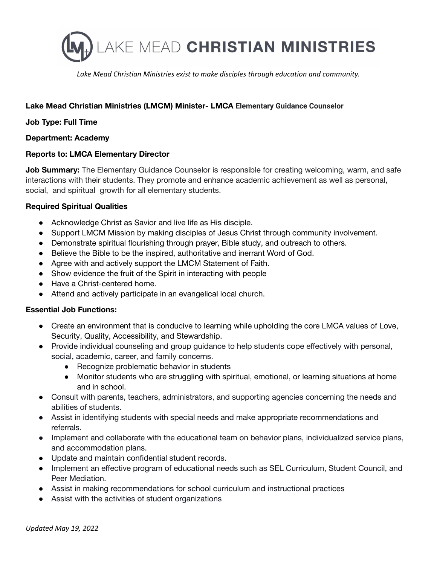

*Lake Mead Christian Ministries exist to make disciples through education and community.*

# **Lake Mead Christian Ministries (LMCM) Minister- LMCA Elementary Guidance Counselor**

## **Job Type: Full Time**

### **Department: Academy**

### **Reports to: LMCA Elementary Director**

**Job Summary:** The Elementary Guidance Counselor is responsible for creating welcoming, warm, and safe interactions with their students. They promote and enhance academic achievement as well as personal, social, and spiritual growth for all elementary students.

## **Required Spiritual Qualities**

- Acknowledge Christ as Savior and live life as His disciple.
- Support LMCM Mission by making disciples of Jesus Christ through community involvement.
- Demonstrate spiritual flourishing through prayer, Bible study, and outreach to others.
- Believe the Bible to be the inspired, authoritative and inerrant Word of God.
- Agree with and actively support the LMCM Statement of Faith.
- Show evidence the fruit of the Spirit in interacting with people
- Have a Christ-centered home.
- Attend and actively participate in an evangelical local church.

## **Essential Job Functions:**

- Create an environment that is conducive to learning while upholding the core LMCA values of Love, Security, Quality, Accessibility, and Stewardship.
- Provide individual counseling and group guidance to help students cope effectively with personal, social, academic, career, and family concerns.
	- Recognize problematic behavior in students
	- Monitor students who are struggling with spiritual, emotional, or learning situations at home and in school.
- Consult with parents, teachers, administrators, and supporting agencies concerning the needs and abilities of students.
- Assist in identifying students with special needs and make appropriate recommendations and referrals.
- Implement and collaborate with the educational team on behavior plans, individualized service plans, and accommodation plans.
- Update and maintain confidential student records.
- Implement an effective program of educational needs such as SEL Curriculum, Student Council, and Peer Mediation.
- Assist in making recommendations for school curriculum and instructional practices
- Assist with the activities of student organizations